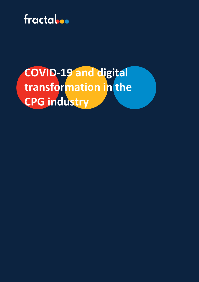

# **COVID-19 and digital transformation in the CPG industry**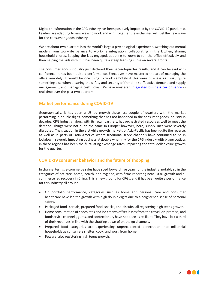Digital transformation in the CPG industry has been positively impacted by the COVID-19 pandemic. Leaders are adapting to new ways to work and win. Together these changes will fuel the new wave for the consumer goods industry.

We are about two quarters into the world's largest psychological experiment, switching out mental models from work-life balance to work-life integration: collaborating in the kitchen, sharing household chores, keeping the kids engaged, adapting to zoom to run the office effectively and then helping the kids with it. It has been quite a steep learning curve on several fronts.

The consumer goods industry just declared their second-quarter results, and it can be said with confidence, it has been quite a performance. Executives have mastered the art of managing the office remotely. It would be one thing to work remotely if this were business as usual; quite something else when ensuring the safety and security of frontline staff, active demand and supply management, and managing cash flows. We have mastered *integrated business performance* in real-time over the past two quarters.

# **Market performance during COVID-19**

Geographically, it has been a US-led growth these last couple of quarters with the market performing in double digits, something that has not happened in the consumer goods industry in decades. CPG industry, along with its retail partners, has orchestrated resources well to meet the demand. Things were not quite the same in Europe; however, here, supply lines were severely disrupted. The situation in the erstwhile growth markets of Asia-Pacific has been quite the reverse, as well as in parts of Latin America where traditional trade channels have continued to be in lockdown, severely impacting business. A double whammy for the CPG industry with bigger outlays in these regions has been the fluctuating exchange rates, impacting the total dollar value growth for the quarter.

## **COVID-19 consumer behavior and the future of shopping**

In channel terms, e-commerce sales have sped forward five years for the industry, notably so in the categories of pet care, home, health, and hygiene, with firms reporting near 100% growth and ecommerce led recovery in China. This is new ground for CPGs, and it has been quite a performance for this industry all around.

- On portfolio performance, categories such as home and personal care and consumer healthcare have led the growth with high double digits due to a heightened sense of personal safety.
- Packaged food- cereals, prepared food, snacks, and biscuits, all registering high teens growth.
- Home consumption of chocolates and ice creams offset losses from the travel, on-premise, and foodservice channels, gums, and confectionary have not been as resilient. They have lost a third of their revenues in line with the shutting down of on the go channels.
- Prepared food categories are experiencing unprecedented penetration into millennial households as consumers shelter, cook, and work from home.
- Petcare, also registering high teens growth.

2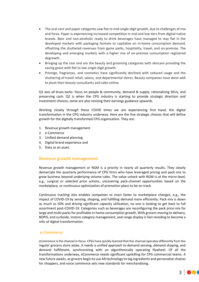- The oral care and paper categories saw flat to mid-single-digit growth, due to challenges of mix and forex. Paper is experiencing increased competition in mid and low tiers from digital-native brands. Beer and non-alcoholic ready to drink beverages have managed to stay flat in the developed markets with packaging formats to capitalize on in-home consumption demand, offsetting the shuttered revenues from game parks, hospitality, travel, and on-premise. The developing and emerging markets with a higher mix of on-premise consumption registered degrowth.
- Bringing up the rear end are the beauty and grooming categories with skincare providing the saving grace with flat to low single-digit growth.
- Prestige, fragrances, and cosmetics have significantly declined with reduced usage and the shuttering of travel retail, salons, and departmental stores. Beauty companies have done well to pivot their beauty consultants and sales online.

Q1 was all brass-tacks- focus on people & community, demand & supply, rationalizing SKUs, and preserving cash. Q2 is when the CPG industry is starting to provide strategic direction and investment choices; some are also revising their earnings guidance upwards.

Working closely through these COVID times we are experiencing first hand, the digital transformation in the CPG industry underway. Here are the five strategic choices that will define growth for the digitally transformed CPG organization. They are:

- 1. Revenue growth management
- 2. e-Commerce
- 3. Unified demand planning
- 4. Digital brand experience and
- 5. Data as an asset.

#### **Revenue growth management**

Revenue growth management or RGM is a priority in nearly all quarterly results. They clearly demarcate the quarterly performance of CPG firms who have leveraged pricing and pack mix to grow business beyond underlying volume sales. The value unlock with RGM is at the micro-level, e.g., surgical or selected price actions, uncovering pack-channel opportunities based on the marketplace, or continuous optimization of promotion plans to be on track.

Continuous tracking also enables companies to react faster to marketplace changes, e.g., the impact of COVID-19 by sensing, shaping, and fulfilling demand more efficiently. Pack mix is down as much as 50% and driving significant capacity utilization; no one is looking to get back to full assortment post-COVID-19. Categories such as beverages are reconfiguring the pack price mix for large and multi-packs for profitable in-home consumption growth. With grocers moving to delivery, BOPIS, and curbside, instore category management, and range display is fast receding to become a relic of digital transformation.

#### **e-Commerce**

eCommerce is the channel in focus. CPGs have quickly learned that this channel operates differently from the regular grocery store aisles. It needs a unified approach to demand sensing, demand shaping, and demand fulfillment, synchronizing with an algorithmically operating flywheel. Of all the transformations underway, eCommerce needs significant upskilling for CPG commercial teams. A new future awaits, as grocers begin to use AR technology to tag ingredients and personalize choices for shoppers, and voice commerce sets new standards for merchandising.